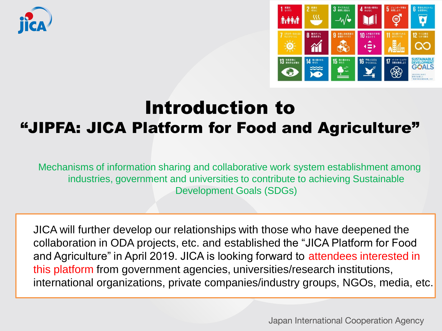



# Introduction to "JIPFA: JICA Platform for Food and Agriculture"

Mechanisms of information sharing and collaborative work system establishment among industries, government and universities to contribute to achieving Sustainable Development Goals (SDGs)

JICA will further develop our relationships with those who have deepened the collaboration in ODA projects, etc. and established the "JICA Platform for Food and Agriculture" in April 2019. JICA is looking forward to attendees interested in this platform from government agencies, universities/research institutions, international organizations, private companies/industry groups, NGOs, media, etc.

Japan International Cooperation Agency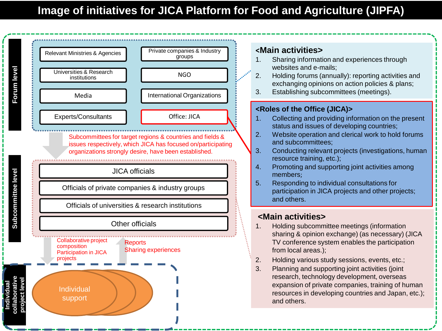

### **<Main activities>**

- 1. Sharing information and experiences through websites and e-mails;
- 2. Holding forums (annually): reporting activities and exchanging opinions on action policies & plans;
- 3. Establishing subcommittees (meetings).

#### **<Roles of the Office (JICA)>**

- 1. Collecting and providing information on the present status and issues of developing countries;
- 2. Website operation and clerical work to hold forums and subcommittees;
- 3. Conducting relevant projects (investigations, human resource training, etc.);
- 4. Promoting and supporting joint activities among members;
- 5. Responding to individual consultations for participation in JICA projects and other projects; and others.

### **<Main activities>**

- 1. Holding subcommittee meetings (information sharing & opinion exchange) (as necessary) (JICA TV conference system enables the participation from local areas.);
- 2. Holding various study sessions, events, etc.;
- 3. Planning and supporting joint activities (joint research, technology development, overseas expansion of private companies, training of human resources in developing countries and Japan, etc.); and others.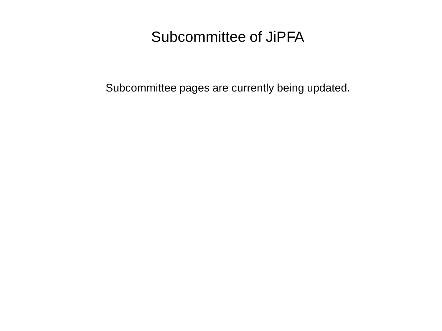## Subcommittee of JiPFA

Subcommittee pages are currently being updated.